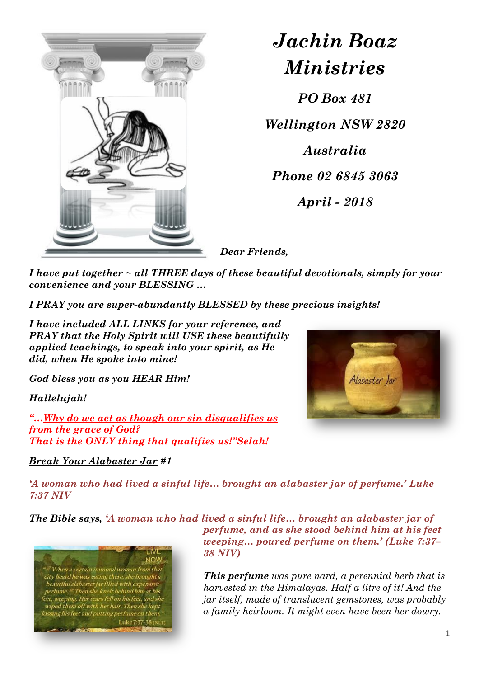

*Jachin Boaz Ministries*

*PO Box 481 Wellington NSW 2820 Australia Phone 02 6845 3063 April - 2018*

*Dear Friends,*

*I have put together ~ all THREE days of these beautiful devotionals, simply for your convenience and your BLESSING …*

*I PRAY you are super-abundantly BLESSED by these precious insights!*

*I have included ALL LINKS for your reference, and PRAY that the Holy Spirit will USE these beautifully applied teachings, to speak into your spirit, as He did, when He spoke into mine!* 

*God bless you as you HEAR Him!* 

*Hallelujah!*

*"…Why do we act as though our sin disqualifies us from the grace of God? That is the ONLY thing that qualifies us!"Selah!*

## *Break Your Alabaster Jar #1*



*'A woman who had lived a sinful life… brought an alabaster jar of perfume.' [Luke](https://biblia.com/bible/niv/Luke%207.37)  [7:37 NIV](https://biblia.com/bible/niv/Luke%207.37)*

*The Bible says, 'A woman who had lived a sinful life… brought an alabaster jar of* 



*perfume, and as she stood behind him at his feet weeping… poured perfume on them.' [\(Luke 7:37](https://biblia.com/bible/niv/Luke%207.37%E2%80%9338)– [38 NIV\)](https://biblia.com/bible/niv/Luke%207.37%E2%80%9338)*

*This perfume was pure nard, a perennial herb that is harvested in the Himalayas. Half a litre of it! And the jar itself, made of translucent gemstones, was probably a family heirloom. It might even have been her dowry.*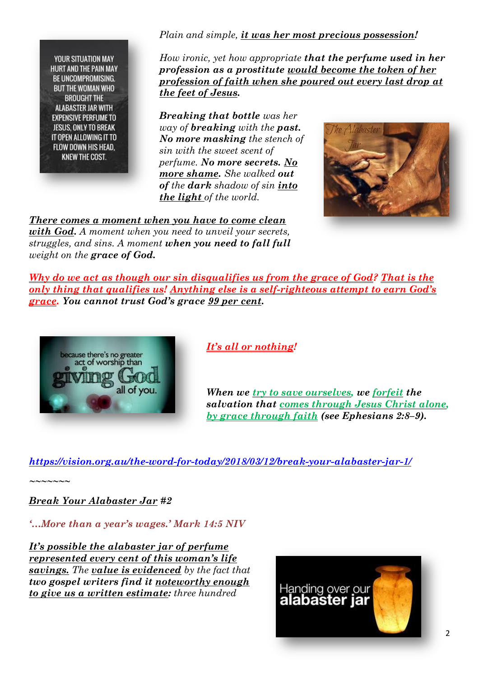**YOUR SITUATION MAY HURT AND THE PAIN MAY** BE UNCOMPROMISING. **BUT THE WOMAN WHO BROUGHT THE ALABASTER JAR WITH EXPENSIVE PERFUME TO** JESUS, ONLY TO BREAK IT OPEN ALLOWING IT TO FLOW DOWN HIS HEAD. **KNEW THE COST.** 

*Plain and simple, it was her most precious possession!*

*How ironic, yet how appropriate that the perfume used in her profession as a prostitute would become the token of her profession of faith when she poured out every last drop at the feet of Jesus.* 

*Breaking that bottle was her way of breaking with the past. No more masking the stench of sin with the sweet scent of perfume. No more secrets. No more shame. She walked out of the dark shadow of sin into the light of the world.* 

*There comes a moment when you have to come clean with God. A moment when you need to unveil your secrets, struggles, and sins. A moment when you need to fall full weight on the grace of God.*



*Why do we act as though our sin disqualifies us from the grace of God? That is the only thing that qualifies us! Anything else is a self-righteous attempt to earn God's grace. You cannot trust God's grace 99 per cent.* 



## *It's all or nothing!*

*When we try to save ourselves, we forfeit the salvation that comes through Jesus Christ alone, by grace through faith (see [Ephesians 2:8](https://biblia.com/bible/esv/Eph%202.8%E2%80%939)–9).*

*<https://vision.org.au/the-word-for-today/2018/03/12/break-your-alabaster-jar-1/>*

*~~~~~~~*

*Break Your Alabaster Jar #2*

*'…More than a year's wages.' [Mark 14:5 NIV](https://biblia.com/bible/niv/Mark%2014.5)*

*It's possible the alabaster jar of perfume represented every cent of this woman's life savings. The value is evidenced by the fact that two gospel writers find it noteworthy enough to give us a written estimate: three hundred* 

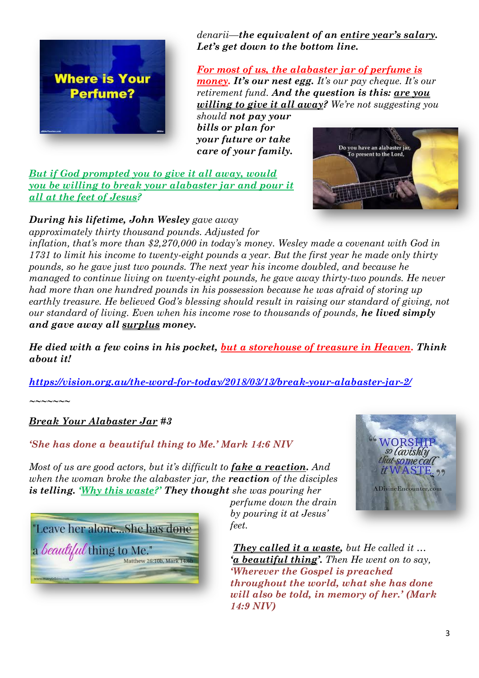

*denarii—the equivalent of an entire year's salary. Let's get down to the bottom line.* 

*For most of us, the alabaster jar of perfume is money. It's our nest egg. It's our pay cheque. It's our retirement fund. And the question is this: are you willing to give it all away? We're not suggesting you* 

*should not pay your bills or plan for your future or take care of your family.*

*But if God prompted you to give it all away, would you be willing to break your alabaster jar and pour it all at the feet of Jesus?*



*approximately thirty thousand pounds. Adjusted for inflation, that's more than \$2,270,000 in today's money. Wesley made a covenant with God in 1731 to limit his income to twenty-eight pounds a year. But the first year he made only thirty pounds, so he gave just two pounds. The next year his income doubled, and because he managed to continue living on twenty-eight pounds, he gave away thirty-two pounds. He never had more than one hundred pounds in his possession because he was afraid of storing up earthly treasure. He believed God's blessing should result in raising our standard of giving, not our standard of living. Even when his income rose to thousands of pounds, he lived simply and gave away all surplus money.* 

*He died with a few coins in his pocket, but a storehouse of treasure in Heaven. Think about it!*

*<https://vision.org.au/the-word-for-today/2018/03/13/break-your-alabaster-jar-2/>*

*~~~~~~~*

*Break Your Alabaster Jar #3*

*'She has done a beautiful thing to Me.' [Mark 14:6 NIV](https://biblia.com/bible/niv/Mark%2014.6)*

*Most of us are good actors, but it's difficult to <i>fake a reaction.* And *when the woman broke the alabaster jar, the reaction of the disciples is telling. 'Why this waste?' They thought she was pouring her* 



*perfume down the drain by pouring it at Jesus' feet.*



*They called it a waste, but He called it … 'a beautiful thing'. Then He went on to say, 'Wherever the Gospel is preached throughout the world, what she has done will also be told, in memory of her.' [\(Mark](https://biblia.com/bible/niv/Mark%2014.9)  [14:9 NIV\)](https://biblia.com/bible/niv/Mark%2014.9)*